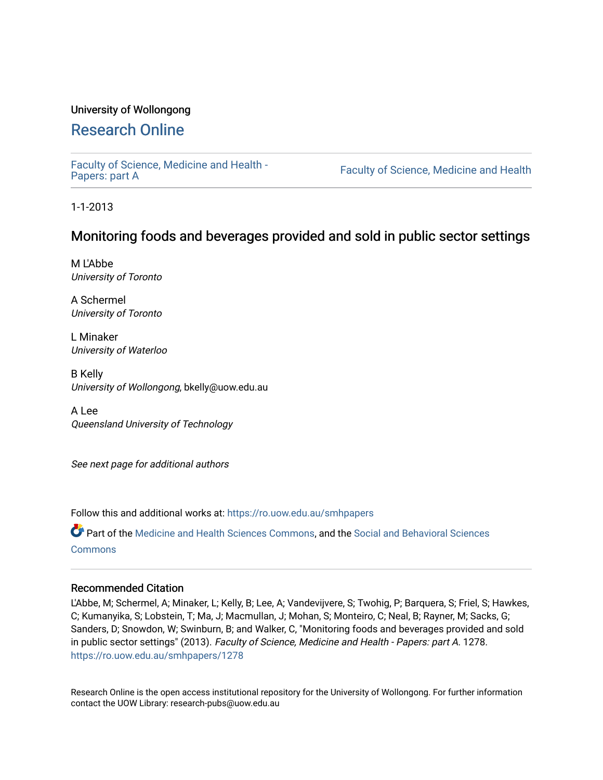# University of Wollongong

# [Research Online](https://ro.uow.edu.au/)

[Faculty of Science, Medicine and Health -](https://ro.uow.edu.au/smhpapers) Papers: part A

Faculty of Science, Medicine and Health

1-1-2013

# Monitoring foods and beverages provided and sold in public sector settings

M L'Abbe University of Toronto

A Schermel University of Toronto

L Minaker University of Waterloo

B Kelly University of Wollongong, bkelly@uow.edu.au

A Lee Queensland University of Technology

See next page for additional authors

Follow this and additional works at: [https://ro.uow.edu.au/smhpapers](https://ro.uow.edu.au/smhpapers?utm_source=ro.uow.edu.au%2Fsmhpapers%2F1278&utm_medium=PDF&utm_campaign=PDFCoverPages) 

Part of the [Medicine and Health Sciences Commons,](http://network.bepress.com/hgg/discipline/648?utm_source=ro.uow.edu.au%2Fsmhpapers%2F1278&utm_medium=PDF&utm_campaign=PDFCoverPages) and the [Social and Behavioral Sciences](http://network.bepress.com/hgg/discipline/316?utm_source=ro.uow.edu.au%2Fsmhpapers%2F1278&utm_medium=PDF&utm_campaign=PDFCoverPages) [Commons](http://network.bepress.com/hgg/discipline/316?utm_source=ro.uow.edu.au%2Fsmhpapers%2F1278&utm_medium=PDF&utm_campaign=PDFCoverPages)

## Recommended Citation

L'Abbe, M; Schermel, A; Minaker, L; Kelly, B; Lee, A; Vandevijvere, S; Twohig, P; Barquera, S; Friel, S; Hawkes, C; Kumanyika, S; Lobstein, T; Ma, J; Macmullan, J; Mohan, S; Monteiro, C; Neal, B; Rayner, M; Sacks, G; Sanders, D; Snowdon, W; Swinburn, B; and Walker, C, "Monitoring foods and beverages provided and sold in public sector settings" (2013). Faculty of Science, Medicine and Health - Papers: part A. 1278. [https://ro.uow.edu.au/smhpapers/1278](https://ro.uow.edu.au/smhpapers/1278?utm_source=ro.uow.edu.au%2Fsmhpapers%2F1278&utm_medium=PDF&utm_campaign=PDFCoverPages)

Research Online is the open access institutional repository for the University of Wollongong. For further information contact the UOW Library: research-pubs@uow.edu.au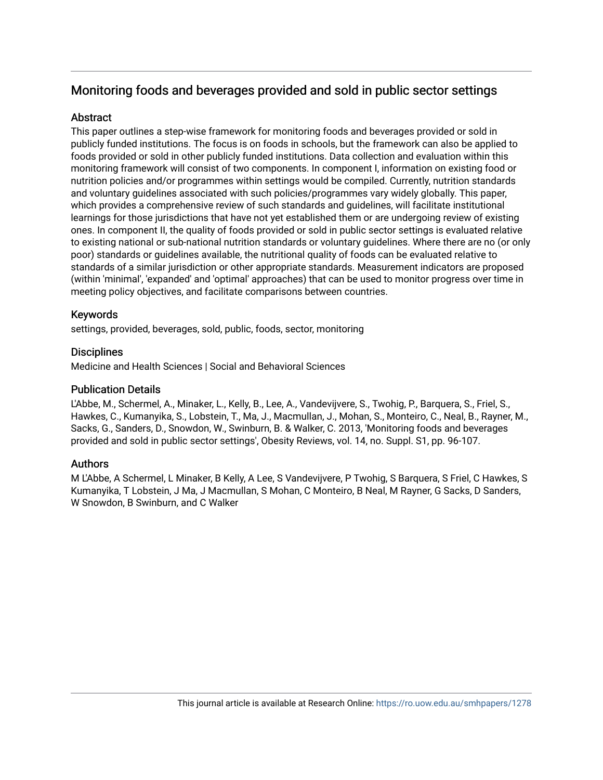# Monitoring foods and beverages provided and sold in public sector settings

# **Abstract**

This paper outlines a step-wise framework for monitoring foods and beverages provided or sold in publicly funded institutions. The focus is on foods in schools, but the framework can also be applied to foods provided or sold in other publicly funded institutions. Data collection and evaluation within this monitoring framework will consist of two components. In component I, information on existing food or nutrition policies and/or programmes within settings would be compiled. Currently, nutrition standards and voluntary guidelines associated with such policies/programmes vary widely globally. This paper, which provides a comprehensive review of such standards and guidelines, will facilitate institutional learnings for those jurisdictions that have not yet established them or are undergoing review of existing ones. In component II, the quality of foods provided or sold in public sector settings is evaluated relative to existing national or sub-national nutrition standards or voluntary guidelines. Where there are no (or only poor) standards or guidelines available, the nutritional quality of foods can be evaluated relative to standards of a similar jurisdiction or other appropriate standards. Measurement indicators are proposed (within 'minimal', 'expanded' and 'optimal' approaches) that can be used to monitor progress over time in meeting policy objectives, and facilitate comparisons between countries.

# Keywords

settings, provided, beverages, sold, public, foods, sector, monitoring

# **Disciplines**

Medicine and Health Sciences | Social and Behavioral Sciences

## Publication Details

L'Abbe, M., Schermel, A., Minaker, L., Kelly, B., Lee, A., Vandevijvere, S., Twohig, P., Barquera, S., Friel, S., Hawkes, C., Kumanyika, S., Lobstein, T., Ma, J., Macmullan, J., Mohan, S., Monteiro, C., Neal, B., Rayner, M., Sacks, G., Sanders, D., Snowdon, W., Swinburn, B. & Walker, C. 2013, 'Monitoring foods and beverages provided and sold in public sector settings', Obesity Reviews, vol. 14, no. Suppl. S1, pp. 96-107.

## Authors

M L'Abbe, A Schermel, L Minaker, B Kelly, A Lee, S Vandevijvere, P Twohig, S Barquera, S Friel, C Hawkes, S Kumanyika, T Lobstein, J Ma, J Macmullan, S Mohan, C Monteiro, B Neal, M Rayner, G Sacks, D Sanders, W Snowdon, B Swinburn, and C Walker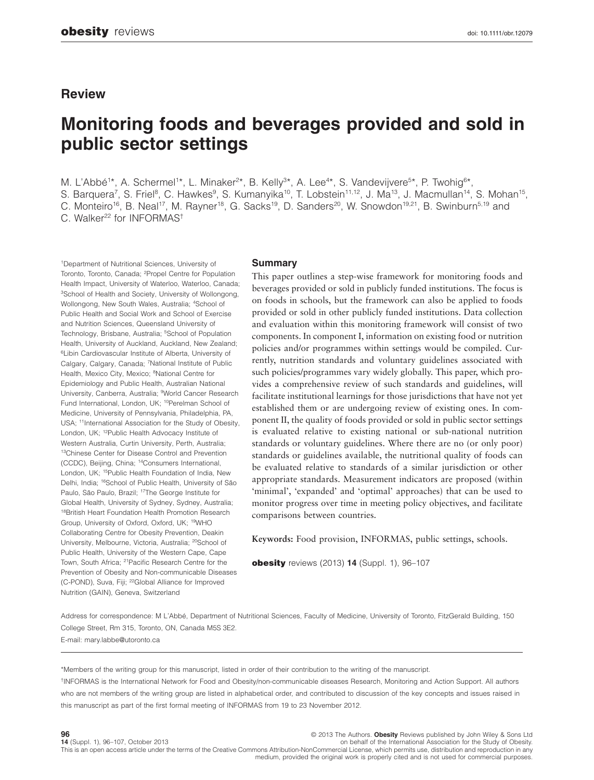## **Review**

# **Monitoring foods and beverages provided and sold in public sector settings**

M. L'Abbé<sup>1\*</sup>, A. Schermel<sup>1\*</sup>, L. Minaker<sup>2\*</sup>, B. Kelly<sup>3\*</sup>, A. Lee<sup>4\*</sup>, S. Vandevijvere<sup>5\*</sup>, P. Twohig<sup>6\*</sup>, S. Barquera<sup>7</sup>, S. Friel<sup>8</sup>, C. Hawkes<sup>9</sup>, S. Kumanyika<sup>10</sup>, T. Lobstein<sup>11,12</sup>, J. Ma<sup>13</sup>, J. Macmullan<sup>14</sup>, S. Mohan<sup>15</sup>, C. Monteiro<sup>16</sup>, B. Neal<sup>17</sup>, M. Rayner<sup>18</sup>, G. Sacks<sup>19</sup>, D. Sanders<sup>20</sup>, W. Snowdon<sup>19,21</sup>, B. Swinburn<sup>5,19</sup> and C. Walker<sup>22</sup> for INFORMAS<sup>†</sup>

1Department of Nutritional Sciences, University of Toronto, Toronto, Canada; 2Propel Centre for Population Health Impact, University of Waterloo, Waterloo, Canada; 3School of Health and Society, University of Wollongong, Wollongong, New South Wales, Australia; 4School of Public Health and Social Work and School of Exercise and Nutrition Sciences, Queensland University of Technology, Brisbane, Australia; <sup>5</sup>School of Population Health, University of Auckland, Auckland, New Zealand; 6Libin Cardiovascular Institute of Alberta, University of Calgary, Calgary, Canada; 7National Institute of Public Health, Mexico City, Mexico; <sup>8</sup>National Centre for Epidemiology and Public Health, Australian National University, Canberra, Australia; 9World Cancer Research Fund International, London, UK; <sup>10</sup>Perelman School of Medicine, University of Pennsylvania, Philadelphia, PA, USA; 11International Association for the Study of Obesity, London, UK; 12Public Health Advocacy Institute of Western Australia, Curtin University, Perth, Australia; <sup>13</sup>Chinese Center for Disease Control and Prevention (CCDC), Beijing, China; 14Consumers International, London, UK; 15Public Health Foundation of India, New Delhi, India; <sup>16</sup>School of Public Health, University of São Paulo, São Paulo, Brazil; 17The George Institute for Global Health, University of Sydney, Sydney, Australia; 18British Heart Foundation Health Promotion Research Group, University of Oxford, Oxford, UK; 19WHO Collaborating Centre for Obesity Prevention, Deakin University, Melbourne, Victoria, Australia; 20School of Public Health, University of the Western Cape, Cape Town, South Africa; 21Pacific Research Centre for the Prevention of Obesity and Non-communicable Diseases (C-POND), Suva, Fiji; <sup>22</sup>Global Alliance for Improved Nutrition (GAIN), Geneva, Switzerland

#### **Summary**

This paper outlines a step-wise framework for monitoring foods and beverages provided or sold in publicly funded institutions. The focus is on foods in schools, but the framework can also be applied to foods provided or sold in other publicly funded institutions. Data collection and evaluation within this monitoring framework will consist of two components. In component I, information on existing food or nutrition policies and/or programmes within settings would be compiled. Currently, nutrition standards and voluntary guidelines associated with such policies/programmes vary widely globally. This paper, which provides a comprehensive review of such standards and guidelines, will facilitate institutional learnings for those jurisdictions that have not yet established them or are undergoing review of existing ones. In component II, the quality of foods provided or sold in public sector settings is evaluated relative to existing national or sub-national nutrition standards or voluntary guidelines. Where there are no (or only poor) standards or guidelines available, the nutritional quality of foods can be evaluated relative to standards of a similar jurisdiction or other appropriate standards. Measurement indicators are proposed (within 'minimal', 'expanded' and 'optimal' approaches) that can be used to monitor progress over time in meeting policy objectives, and facilitate comparisons between countries.

**Keywords:** Food provision, INFORMAS, public settings, schools.

**obesity** reviews (2013) **14** (Suppl. 1), 96–107

Address for correspondence: M L'Abbé, Department of Nutritional Sciences, Faculty of Medicine, University of Toronto, FitzGerald Building, 150 College Street, Rm 315, Toronto, ON, Canada M5S 3E2. E-mail: mary.labbe@utoronto.ca

\*Members of the writing group for this manuscript, listed in order of their contribution to the writing of the manuscript. †INFORMAS is the International Network for Food and Obesity/non-communicable diseases Research, Monitoring and Action Support. All authors who are not members of the writing group are listed in alphabetical order, and contributed to discussion of the key concepts and issues raised in this manuscript as part of the first formal meeting of INFORMAS from 19 to 23 November 2012.

**96** © 2013 The Authors. **Obesity** Reviews published by John Wiley & Sons Ltd on behalf of the International Association for the Study of Obesity.

This is an open access article under the terms of the Creative Commons Attribution-NonCommercial License, which permits use, distribution and reproduction in any medium, provided the original work is properly cited and is not used for commercial purposes.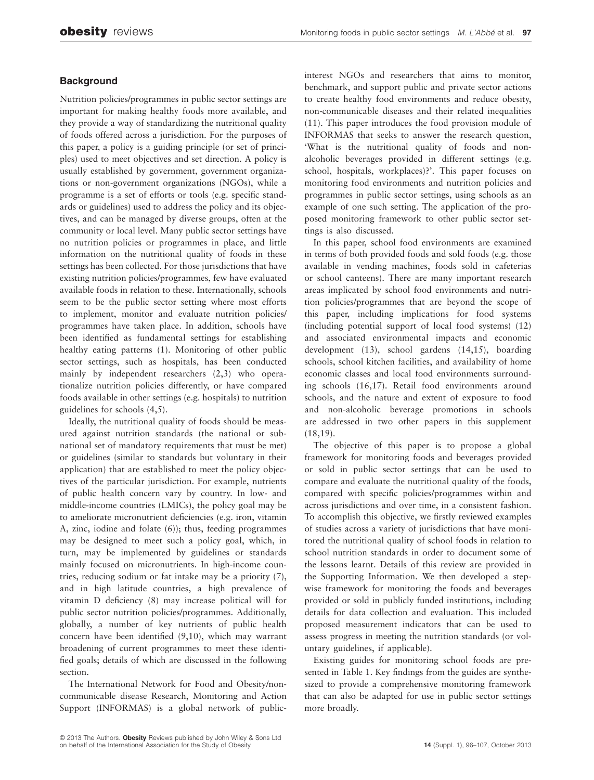#### **Background**

Nutrition policies/programmes in public sector settings are important for making healthy foods more available, and they provide a way of standardizing the nutritional quality of foods offered across a jurisdiction. For the purposes of this paper, a policy is a guiding principle (or set of principles) used to meet objectives and set direction. A policy is usually established by government, government organizations or non-government organizations (NGOs), while a programme is a set of efforts or tools (e.g. specific standards or guidelines) used to address the policy and its objectives, and can be managed by diverse groups, often at the community or local level. Many public sector settings have no nutrition policies or programmes in place, and little information on the nutritional quality of foods in these settings has been collected. For those jurisdictions that have existing nutrition policies/programmes, few have evaluated available foods in relation to these. Internationally, schools seem to be the public sector setting where most efforts to implement, monitor and evaluate nutrition policies/ programmes have taken place. In addition, schools have been identified as fundamental settings for establishing healthy eating patterns (1). Monitoring of other public sector settings, such as hospitals, has been conducted mainly by independent researchers (2,3) who operationalize nutrition policies differently, or have compared foods available in other settings (e.g. hospitals) to nutrition guidelines for schools (4,5).

Ideally, the nutritional quality of foods should be measured against nutrition standards (the national or subnational set of mandatory requirements that must be met) or guidelines (similar to standards but voluntary in their application) that are established to meet the policy objectives of the particular jurisdiction. For example, nutrients of public health concern vary by country. In low- and middle-income countries (LMICs), the policy goal may be to ameliorate micronutrient deficiencies (e.g. iron, vitamin A, zinc, iodine and folate (6)); thus, feeding programmes may be designed to meet such a policy goal, which, in turn, may be implemented by guidelines or standards mainly focused on micronutrients. In high-income countries, reducing sodium or fat intake may be a priority (7), and in high latitude countries, a high prevalence of vitamin D deficiency (8) may increase political will for public sector nutrition policies/programmes. Additionally, globally, a number of key nutrients of public health concern have been identified (9,10), which may warrant broadening of current programmes to meet these identified goals; details of which are discussed in the following section.

The International Network for Food and Obesity/noncommunicable disease Research, Monitoring and Action Support (INFORMAS) is a global network of publicinterest NGOs and researchers that aims to monitor, benchmark, and support public and private sector actions to create healthy food environments and reduce obesity, non-communicable diseases and their related inequalities (11). This paper introduces the food provision module of INFORMAS that seeks to answer the research question, 'What is the nutritional quality of foods and nonalcoholic beverages provided in different settings (e.g. school, hospitals, workplaces)?'. This paper focuses on monitoring food environments and nutrition policies and programmes in public sector settings, using schools as an example of one such setting. The application of the proposed monitoring framework to other public sector settings is also discussed.

In this paper, school food environments are examined in terms of both provided foods and sold foods (e.g. those available in vending machines, foods sold in cafeterias or school canteens). There are many important research areas implicated by school food environments and nutrition policies/programmes that are beyond the scope of this paper, including implications for food systems (including potential support of local food systems) (12) and associated environmental impacts and economic development (13), school gardens (14,15), boarding schools, school kitchen facilities, and availability of home economic classes and local food environments surrounding schools (16,17). Retail food environments around schools, and the nature and extent of exposure to food and non-alcoholic beverage promotions in schools are addressed in two other papers in this supplement (18,19).

The objective of this paper is to propose a global framework for monitoring foods and beverages provided or sold in public sector settings that can be used to compare and evaluate the nutritional quality of the foods, compared with specific policies/programmes within and across jurisdictions and over time, in a consistent fashion. To accomplish this objective, we firstly reviewed examples of studies across a variety of jurisdictions that have monitored the nutritional quality of school foods in relation to school nutrition standards in order to document some of the lessons learnt. Details of this review are provided in the Supporting Information. We then developed a stepwise framework for monitoring the foods and beverages provided or sold in publicly funded institutions, including details for data collection and evaluation. This included proposed measurement indicators that can be used to assess progress in meeting the nutrition standards (or voluntary guidelines, if applicable).

Existing guides for monitoring school foods are presented in Table 1. Key findings from the guides are synthesized to provide a comprehensive monitoring framework that can also be adapted for use in public sector settings more broadly.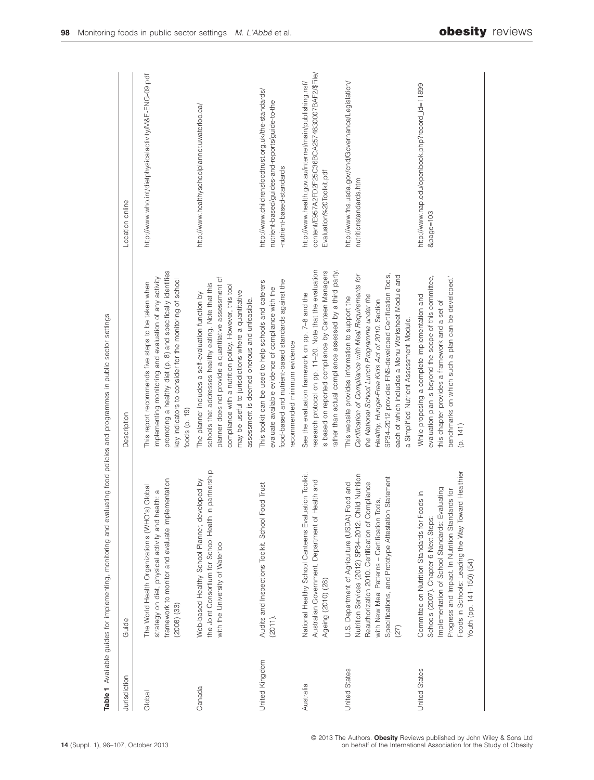| Jurisdiction         | Guide                                                                                                                                                                                                                                                                          | Description                                                                                                                                                                                                                                                                                                                                                              | Location online                                                                                                                        |
|----------------------|--------------------------------------------------------------------------------------------------------------------------------------------------------------------------------------------------------------------------------------------------------------------------------|--------------------------------------------------------------------------------------------------------------------------------------------------------------------------------------------------------------------------------------------------------------------------------------------------------------------------------------------------------------------------|----------------------------------------------------------------------------------------------------------------------------------------|
| Global               | framework to monitor and evaluate implementation<br>The World Health Organization's (WHO's) Global<br>strategy on diet, physical activity and health: a<br>$(2008)$ $(33)$                                                                                                     | promoting a healthy diet (p. 8) and specifically identifies<br>implementing monitoring and evaluation of any activity<br>key indicators to consider for the monitoring of school<br>This report recommends five steps to be taken when<br>foods (p. 19)                                                                                                                  | http://www.who.int/dietphysicalactivity/M&E-ENG-09.pdf                                                                                 |
| Canada               | partnership<br>Web-based Healthy School Planner, developed by<br>the Joint Consortium for School Health in<br>with the University of Waterloo                                                                                                                                  | planner does not provide a quantitative assessment of<br>schools that addresses healthy eating. Note that this<br>compliance with a nutrition policy. However, this tool<br>may be useful to jurisdictions where a quantitative<br>The planner includes a self-evaluation function by<br>assessment is deemed onerous and unfeasible.                                    | http://www.healthyschoolplanner.uwaterloo.ca/                                                                                          |
| United Kingdom       | Audits and Inspections Toolkit. School Food Trust<br>$(2011)$ .                                                                                                                                                                                                                | food-based and nutrient-based standards against the<br>This toolkit can be used to help schools and caterers<br>evaluate available evidence of compliance with the<br>recommended minimum evidence                                                                                                                                                                       | http://www.childrensfoodtrust.org.uk/the-standards/<br>nutrient-based/guides-and-reports/guide-to-the<br>-nutrient-based-standards     |
| Australia            | National Healthy School Canteens Evaluation Toolkit.<br>Australian Government, Department of Health and<br>Ageing (2010) (28)                                                                                                                                                  | research protocol on pp. 11-20. Note that the evaluation<br>is based on reported compliance by Canteen Managers<br>rather than actual compliance assessed by a third party.<br>See the evaluation framework on pp. 7-8 and the                                                                                                                                           | content/E957A2FD2F25C36BCA2574830007BAF2/\$File/<br>http://www.health.gov.au/internet/main/publishing.nsf/<br>Evaluation%20Toolkit.pdf |
| <b>United States</b> | Nutrition Services (2012) SP34-2012: Child Nutrition<br>Statement<br>U.S. Department of Agriculture (USDA) Food and<br>Reauthorization 2010: Certification of Compliance<br>with New Meal Patterns - Certification Tools,<br>Specifications, and Prototype Attestation<br>(27) | SP34-2012 provides FNS-developed Certification Tools,<br>Certification of Compliance with Meal Requirements for<br>each of which includes a Menu Worksheet Module and<br>the National School Lunch Programme under the<br>This website provides information to support the<br>Healthy, Hunger-Free Kids Act of 2010. Section<br>a Simplified Nutrient Assessment Module. | http://www.fns.usda.gov/cnd/Governance/Legislation/<br>nutritionstandards.htm                                                          |
| United States        | Foods in Schools: Leading the Way Toward Healthier<br>Implementation of School Standards: Evaluating<br>Progress and Impact. In Nutrition Standards for<br>Committee on Nutrition Standards for Foods in<br>Schools (2007). Chapter 6 Next Steps:<br>Youth (pp. 141-150) (54)  | evaluation plan is beyond the scope of this committee,<br>benchmarks on which such a plan can be developed.'<br>While proposing a complete implementation and<br>this chapter provides a framework and a set of<br>(p. 141)                                                                                                                                              | http://www.nap.edu/openbook.php?record_id=11899<br>&page=103                                                                           |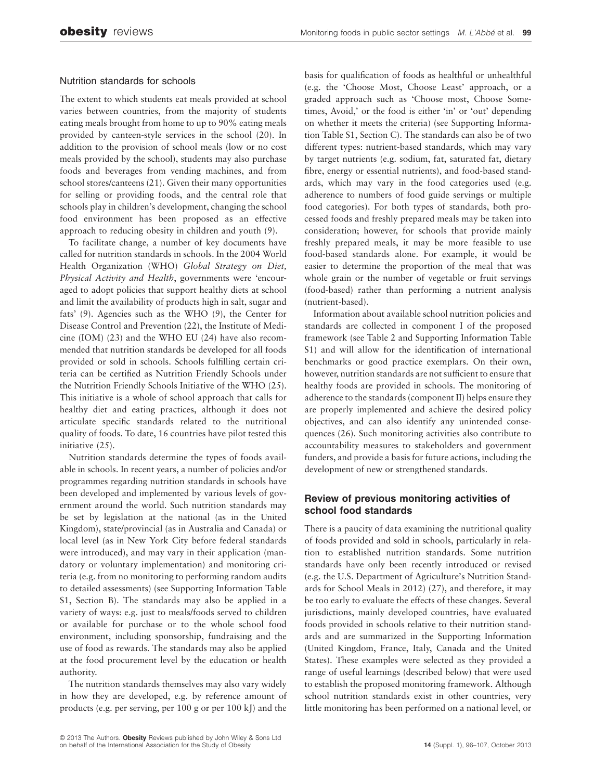#### Nutrition standards for schools

The extent to which students eat meals provided at school varies between countries, from the majority of students eating meals brought from home to up to 90% eating meals provided by canteen-style services in the school (20). In addition to the provision of school meals (low or no cost meals provided by the school), students may also purchase foods and beverages from vending machines, and from school stores/canteens (21). Given their many opportunities for selling or providing foods, and the central role that schools play in children's development, changing the school food environment has been proposed as an effective approach to reducing obesity in children and youth (9).

To facilitate change, a number of key documents have called for nutrition standards in schools. In the 2004 World Health Organization (WHO) *Global Strategy on Diet, Physical Activity and Health*, governments were 'encouraged to adopt policies that support healthy diets at school and limit the availability of products high in salt, sugar and fats' (9). Agencies such as the WHO (9), the Center for Disease Control and Prevention (22), the Institute of Medicine (IOM) (23) and the WHO EU (24) have also recommended that nutrition standards be developed for all foods provided or sold in schools. Schools fulfilling certain criteria can be certified as Nutrition Friendly Schools under the Nutrition Friendly Schools Initiative of the WHO (25). This initiative is a whole of school approach that calls for healthy diet and eating practices, although it does not articulate specific standards related to the nutritional quality of foods. To date, 16 countries have pilot tested this initiative (25).

Nutrition standards determine the types of foods available in schools. In recent years, a number of policies and/or programmes regarding nutrition standards in schools have been developed and implemented by various levels of government around the world. Such nutrition standards may be set by legislation at the national (as in the United Kingdom), state/provincial (as in Australia and Canada) or local level (as in New York City before federal standards were introduced), and may vary in their application (mandatory or voluntary implementation) and monitoring criteria (e.g. from no monitoring to performing random audits to detailed assessments) (see Supporting Information Table S1, Section B). The standards may also be applied in a variety of ways: e.g. just to meals/foods served to children or available for purchase or to the whole school food environment, including sponsorship, fundraising and the use of food as rewards. The standards may also be applied at the food procurement level by the education or health authority.

The nutrition standards themselves may also vary widely in how they are developed, e.g. by reference amount of products (e.g. per serving, per 100 g or per 100 kJ) and the basis for qualification of foods as healthful or unhealthful (e.g. the 'Choose Most, Choose Least' approach, or a graded approach such as 'Choose most, Choose Sometimes, Avoid,' or the food is either 'in' or 'out' depending on whether it meets the criteria) (see Supporting Information Table S1, Section C). The standards can also be of two different types: nutrient-based standards, which may vary by target nutrients (e.g. sodium, fat, saturated fat, dietary fibre, energy or essential nutrients), and food-based standards, which may vary in the food categories used (e.g. adherence to numbers of food guide servings or multiple food categories). For both types of standards, both processed foods and freshly prepared meals may be taken into consideration; however, for schools that provide mainly freshly prepared meals, it may be more feasible to use food-based standards alone. For example, it would be easier to determine the proportion of the meal that was whole grain or the number of vegetable or fruit servings (food-based) rather than performing a nutrient analysis (nutrient-based).

Information about available school nutrition policies and standards are collected in component I of the proposed framework (see Table 2 and Supporting Information Table S1) and will allow for the identification of international benchmarks or good practice exemplars. On their own, however, nutrition standards are not sufficient to ensure that healthy foods are provided in schools. The monitoring of adherence to the standards (component II) helps ensure they are properly implemented and achieve the desired policy objectives, and can also identify any unintended consequences (26). Such monitoring activities also contribute to accountability measures to stakeholders and government funders, and provide a basis for future actions, including the development of new or strengthened standards.

#### **Review of previous monitoring activities of school food standards**

There is a paucity of data examining the nutritional quality of foods provided and sold in schools, particularly in relation to established nutrition standards. Some nutrition standards have only been recently introduced or revised (e.g. the U.S. Department of Agriculture's Nutrition Standards for School Meals in 2012) (27), and therefore, it may be too early to evaluate the effects of these changes. Several jurisdictions, mainly developed countries, have evaluated foods provided in schools relative to their nutrition standards and are summarized in the Supporting Information (United Kingdom, France, Italy, Canada and the United States). These examples were selected as they provided a range of useful learnings (described below) that were used to establish the proposed monitoring framework. Although school nutrition standards exist in other countries, very little monitoring has been performed on a national level, or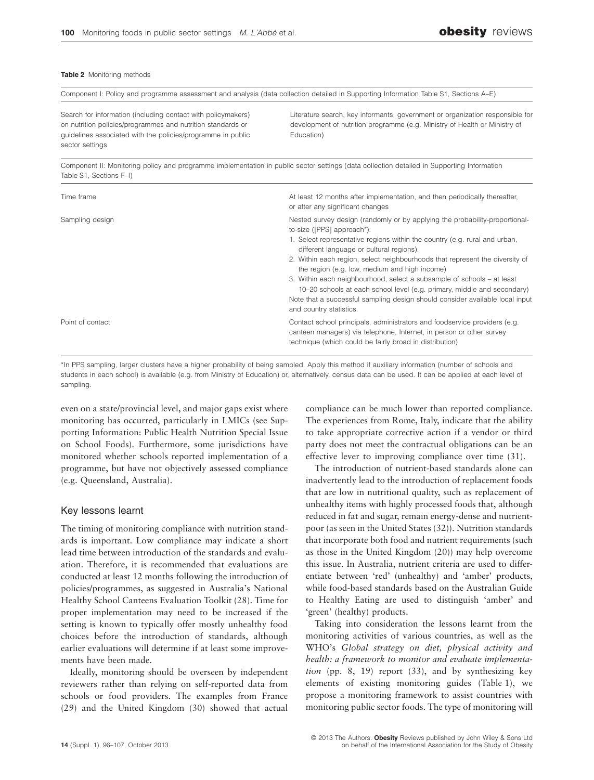#### **Table 2** Monitoring methods

| Component I: Policy and programme assessment and analysis (data collection detailed in Supporting Information Table S1, Sections A–E) |
|---------------------------------------------------------------------------------------------------------------------------------------|
|---------------------------------------------------------------------------------------------------------------------------------------|

Search for information (including contact with policymakers) on nutrition policies/programmes and nutrition standards or guidelines associated with the policies/programme in public sector settings

Literature search, key informants, government or organization responsible for development of nutrition programme (e.g. Ministry of Health or Ministry of Education)

Component II: Monitoring policy and programme implementation in public sector settings (data collection detailed in Supporting Information Table S1, Sections F–I)

| Time frame       | At least 12 months after implementation, and then periodically thereafter,<br>or after any significant changes                                                                                                                                                                                                                                                                                                                                                                                                                                                                                                                       |
|------------------|--------------------------------------------------------------------------------------------------------------------------------------------------------------------------------------------------------------------------------------------------------------------------------------------------------------------------------------------------------------------------------------------------------------------------------------------------------------------------------------------------------------------------------------------------------------------------------------------------------------------------------------|
| Sampling design  | Nested survey design (randomly or by applying the probability-proportional-<br>to-size ([PPS] approach*):<br>1. Select representative regions within the country (e.g. rural and urban,<br>different language or cultural regions).<br>2. Within each region, select neighbourhoods that represent the diversity of<br>the region (e.g. low, medium and high income)<br>3. Within each neighbourhood, select a subsample of schools – at least<br>10–20 schools at each school level (e.g. primary, middle and secondary)<br>Note that a successful sampling design should consider available local input<br>and country statistics. |
| Point of contact | Contact school principals, administrators and foodservice providers (e.g.<br>canteen managers) via telephone, Internet, in person or other survey<br>technique (which could be fairly broad in distribution)                                                                                                                                                                                                                                                                                                                                                                                                                         |

\*In PPS sampling, larger clusters have a higher probability of being sampled. Apply this method if auxiliary information (number of schools and students in each school) is available (e.g. from Ministry of Education) or, alternatively, census data can be used. It can be applied at each level of sampling.

even on a state/provincial level, and major gaps exist where monitoring has occurred, particularly in LMICs (see Supporting Information: Public Health Nutrition Special Issue on School Foods). Furthermore, some jurisdictions have monitored whether schools reported implementation of a programme, but have not objectively assessed compliance (e.g. Queensland, Australia).

#### Key lessons learnt

The timing of monitoring compliance with nutrition standards is important. Low compliance may indicate a short lead time between introduction of the standards and evaluation. Therefore, it is recommended that evaluations are conducted at least 12 months following the introduction of policies/programmes, as suggested in Australia's National Healthy School Canteens Evaluation Toolkit (28). Time for proper implementation may need to be increased if the setting is known to typically offer mostly unhealthy food choices before the introduction of standards, although earlier evaluations will determine if at least some improvements have been made.

Ideally, monitoring should be overseen by independent reviewers rather than relying on self-reported data from schools or food providers. The examples from France (29) and the United Kingdom (30) showed that actual

compliance can be much lower than reported compliance. The experiences from Rome, Italy, indicate that the ability to take appropriate corrective action if a vendor or third party does not meet the contractual obligations can be an effective lever to improving compliance over time (31).

The introduction of nutrient-based standards alone can inadvertently lead to the introduction of replacement foods that are low in nutritional quality, such as replacement of unhealthy items with highly processed foods that, although reduced in fat and sugar, remain energy-dense and nutrientpoor (as seen in the United States (32)). Nutrition standards that incorporate both food and nutrient requirements (such as those in the United Kingdom (20)) may help overcome this issue. In Australia, nutrient criteria are used to differentiate between 'red' (unhealthy) and 'amber' products, while food-based standards based on the Australian Guide to Healthy Eating are used to distinguish 'amber' and 'green' (healthy) products.

Taking into consideration the lessons learnt from the monitoring activities of various countries, as well as the WHO's *Global strategy on diet, physical activity and health: a framework to monitor and evaluate implementation* (pp. 8, 19) report (33), and by synthesizing key elements of existing monitoring guides (Table 1), we propose a monitoring framework to assist countries with monitoring public sector foods. The type of monitoring will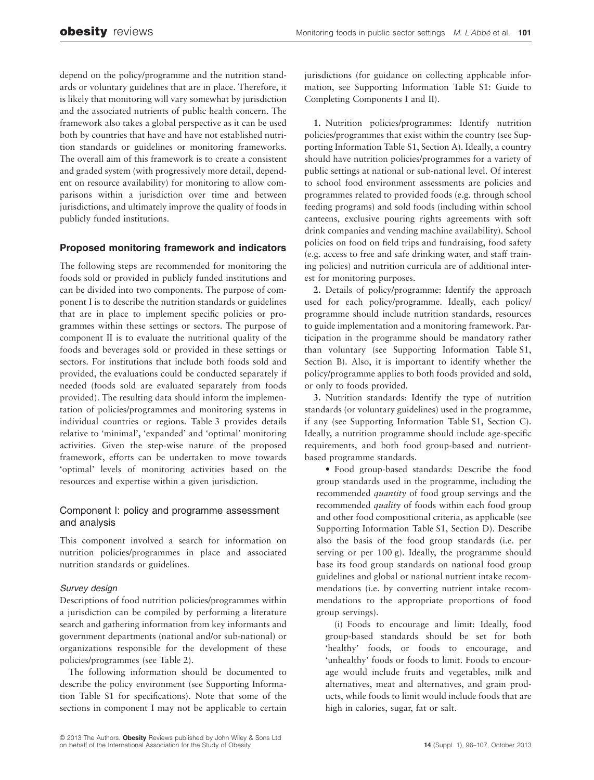depend on the policy/programme and the nutrition standards or voluntary guidelines that are in place. Therefore, it is likely that monitoring will vary somewhat by jurisdiction and the associated nutrients of public health concern. The framework also takes a global perspective as it can be used both by countries that have and have not established nutrition standards or guidelines or monitoring frameworks. The overall aim of this framework is to create a consistent and graded system (with progressively more detail, dependent on resource availability) for monitoring to allow comparisons within a jurisdiction over time and between jurisdictions, and ultimately improve the quality of foods in publicly funded institutions.

#### **Proposed monitoring framework and indicators**

The following steps are recommended for monitoring the foods sold or provided in publicly funded institutions and can be divided into two components. The purpose of component I is to describe the nutrition standards or guidelines that are in place to implement specific policies or programmes within these settings or sectors. The purpose of component II is to evaluate the nutritional quality of the foods and beverages sold or provided in these settings or sectors. For institutions that include both foods sold and provided, the evaluations could be conducted separately if needed (foods sold are evaluated separately from foods provided). The resulting data should inform the implementation of policies/programmes and monitoring systems in individual countries or regions. Table 3 provides details relative to 'minimal', 'expanded' and 'optimal' monitoring activities. Given the step-wise nature of the proposed framework, efforts can be undertaken to move towards 'optimal' levels of monitoring activities based on the resources and expertise within a given jurisdiction.

#### Component I: policy and programme assessment and analysis

This component involved a search for information on nutrition policies/programmes in place and associated nutrition standards or guidelines.

#### *Survey design*

Descriptions of food nutrition policies/programmes within a jurisdiction can be compiled by performing a literature search and gathering information from key informants and government departments (national and/or sub-national) or organizations responsible for the development of these policies/programmes (see Table 2).

The following information should be documented to describe the policy environment (see Supporting Information Table S1 for specifications). Note that some of the sections in component I may not be applicable to certain jurisdictions (for guidance on collecting applicable information, see Supporting Information Table S1: Guide to Completing Components I and II).

**1.** Nutrition policies/programmes: Identify nutrition policies/programmes that exist within the country (see Supporting Information Table S1, Section A). Ideally, a country should have nutrition policies/programmes for a variety of public settings at national or sub-national level. Of interest to school food environment assessments are policies and programmes related to provided foods (e.g. through school feeding programs) and sold foods (including within school canteens, exclusive pouring rights agreements with soft drink companies and vending machine availability). School policies on food on field trips and fundraising, food safety (e.g. access to free and safe drinking water, and staff training policies) and nutrition curricula are of additional interest for monitoring purposes.

**2.** Details of policy/programme: Identify the approach used for each policy/programme. Ideally, each policy/ programme should include nutrition standards, resources to guide implementation and a monitoring framework. Participation in the programme should be mandatory rather than voluntary (see Supporting Information Table S1, Section B). Also, it is important to identify whether the policy/programme applies to both foods provided and sold, or only to foods provided.

**3.** Nutrition standards: Identify the type of nutrition standards (or voluntary guidelines) used in the programme, if any (see Supporting Information Table S1, Section C). Ideally, a nutrition programme should include age-specific requirements, and both food group-based and nutrientbased programme standards.

• Food group-based standards: Describe the food group standards used in the programme, including the recommended *quantity* of food group servings and the recommended *quality* of foods within each food group and other food compositional criteria, as applicable (see Supporting Information Table S1, Section D). Describe also the basis of the food group standards (i.e. per serving or per 100 g). Ideally, the programme should base its food group standards on national food group guidelines and global or national nutrient intake recommendations (i.e. by converting nutrient intake recommendations to the appropriate proportions of food group servings).

(i) Foods to encourage and limit: Ideally, food group-based standards should be set for both 'healthy' foods, or foods to encourage, and 'unhealthy' foods or foods to limit. Foods to encourage would include fruits and vegetables, milk and alternatives, meat and alternatives, and grain products, while foods to limit would include foods that are high in calories, sugar, fat or salt.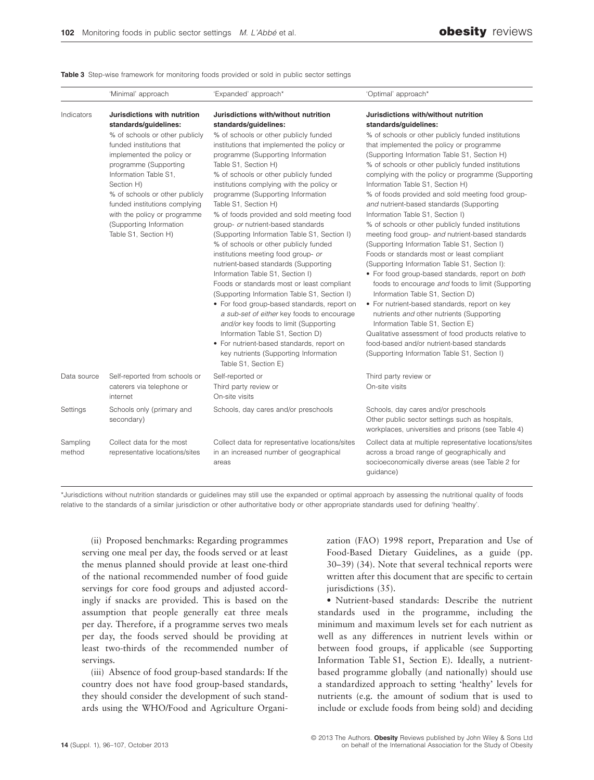**Table 3** Step-wise framework for monitoring foods provided or sold in public sector settings

|                    | 'Minimal' approach                                                                                                                                                                                                                                                                                                                                                     | 'Expanded' approach*                                                                                                                                                                                                                                                                                                                                                                                                                                                                                                                                                                                                                                                                                                                                                                                                                                                                                                                                                                                                                                       | 'Optimal' approach*                                                                                                                                                                                                                                                                                                                                                                                                                                                                                                                                                                                                                                                                                                                                                                                                                                                                                                                                                                                                                                                                                                                                                                              |
|--------------------|------------------------------------------------------------------------------------------------------------------------------------------------------------------------------------------------------------------------------------------------------------------------------------------------------------------------------------------------------------------------|------------------------------------------------------------------------------------------------------------------------------------------------------------------------------------------------------------------------------------------------------------------------------------------------------------------------------------------------------------------------------------------------------------------------------------------------------------------------------------------------------------------------------------------------------------------------------------------------------------------------------------------------------------------------------------------------------------------------------------------------------------------------------------------------------------------------------------------------------------------------------------------------------------------------------------------------------------------------------------------------------------------------------------------------------------|--------------------------------------------------------------------------------------------------------------------------------------------------------------------------------------------------------------------------------------------------------------------------------------------------------------------------------------------------------------------------------------------------------------------------------------------------------------------------------------------------------------------------------------------------------------------------------------------------------------------------------------------------------------------------------------------------------------------------------------------------------------------------------------------------------------------------------------------------------------------------------------------------------------------------------------------------------------------------------------------------------------------------------------------------------------------------------------------------------------------------------------------------------------------------------------------------|
| Indicators         | Jurisdictions with nutrition<br>standards/quidelines:<br>% of schools or other publicly<br>funded institutions that<br>implemented the policy or<br>programme (Supporting<br>Information Table S1,<br>Section H)<br>% of schools or other publicly<br>funded institutions complying<br>with the policy or programme<br>(Supporting Information<br>Table S1, Section H) | Jurisdictions with/without nutrition<br>standards/quidelines:<br>% of schools or other publicly funded<br>institutions that implemented the policy or<br>programme (Supporting Information<br>Table S1, Section H)<br>% of schools or other publicly funded<br>institutions complying with the policy or<br>programme (Supporting Information<br>Table S1, Section H)<br>% of foods provided and sold meeting food<br>group- or nutrient-based standards<br>(Supporting Information Table S1, Section I)<br>% of schools or other publicly funded<br>institutions meeting food group- or<br>nutrient-based standards (Supporting<br>Information Table S1, Section I)<br>Foods or standards most or least compliant<br>(Supporting Information Table S1, Section I)<br>• For food group-based standards, report on<br>a sub-set of either key foods to encourage<br>and/or key foods to limit (Supporting<br>Information Table S1, Section D)<br>• For nutrient-based standards, report on<br>key nutrients (Supporting Information<br>Table S1, Section E) | Jurisdictions with/without nutrition<br>standards/quidelines:<br>% of schools or other publicly funded institutions<br>that implemented the policy or programme<br>(Supporting Information Table S1, Section H)<br>% of schools or other publicly funded institutions<br>complying with the policy or programme (Supporting<br>Information Table S1, Section H)<br>% of foods provided and sold meeting food group-<br>and nutrient-based standards (Supporting<br>Information Table S1, Section I)<br>% of schools or other publicly funded institutions<br>meeting food group- and nutrient-based standards<br>(Supporting Information Table S1, Section I)<br>Foods or standards most or least compliant<br>(Supporting Information Table S1, Section I):<br>• For food group-based standards, report on both<br>foods to encourage and foods to limit (Supporting<br>Information Table S1, Section D)<br>• For nutrient-based standards, report on key<br>nutrients and other nutrients (Supporting<br>Information Table S1, Section E)<br>Qualitative assessment of food products relative to<br>food-based and/or nutrient-based standards<br>(Supporting Information Table S1, Section I) |
| Data source        | Self-reported from schools or<br>caterers via telephone or<br>internet                                                                                                                                                                                                                                                                                                 | Self-reported or<br>Third party review or<br>On-site visits                                                                                                                                                                                                                                                                                                                                                                                                                                                                                                                                                                                                                                                                                                                                                                                                                                                                                                                                                                                                | Third party review or<br>On-site visits                                                                                                                                                                                                                                                                                                                                                                                                                                                                                                                                                                                                                                                                                                                                                                                                                                                                                                                                                                                                                                                                                                                                                          |
| Settings           | Schools only (primary and<br>secondary)                                                                                                                                                                                                                                                                                                                                | Schools, day cares and/or preschools                                                                                                                                                                                                                                                                                                                                                                                                                                                                                                                                                                                                                                                                                                                                                                                                                                                                                                                                                                                                                       | Schools, day cares and/or preschools<br>Other public sector settings such as hospitals,<br>workplaces, universities and prisons (see Table 4)                                                                                                                                                                                                                                                                                                                                                                                                                                                                                                                                                                                                                                                                                                                                                                                                                                                                                                                                                                                                                                                    |
| Sampling<br>method | Collect data for the most<br>representative locations/sites                                                                                                                                                                                                                                                                                                            | Collect data for representative locations/sites<br>in an increased number of geographical<br>areas                                                                                                                                                                                                                                                                                                                                                                                                                                                                                                                                                                                                                                                                                                                                                                                                                                                                                                                                                         | Collect data at multiple representative locations/sites<br>across a broad range of geographically and<br>socioeconomically diverse areas (see Table 2 for<br>guidance)                                                                                                                                                                                                                                                                                                                                                                                                                                                                                                                                                                                                                                                                                                                                                                                                                                                                                                                                                                                                                           |

\*Jurisdictions without nutrition standards or guidelines may still use the expanded or optimal approach by assessing the nutritional quality of foods relative to the standards of a similar jurisdiction or other authoritative body or other appropriate standards used for defining 'healthy'.

(ii) Proposed benchmarks: Regarding programmes serving one meal per day, the foods served or at least the menus planned should provide at least one-third of the national recommended number of food guide servings for core food groups and adjusted accordingly if snacks are provided. This is based on the assumption that people generally eat three meals per day. Therefore, if a programme serves two meals per day, the foods served should be providing at least two-thirds of the recommended number of servings.

(iii) Absence of food group-based standards: If the country does not have food group-based standards, they should consider the development of such standards using the WHO/Food and Agriculture Organization (FAO) 1998 report, Preparation and Use of Food-Based Dietary Guidelines, as a guide (pp. 30–39) (34). Note that several technical reports were written after this document that are specific to certain jurisdictions (35).

• Nutrient-based standards: Describe the nutrient standards used in the programme, including the minimum and maximum levels set for each nutrient as well as any differences in nutrient levels within or between food groups, if applicable (see Supporting Information Table S1, Section E). Ideally, a nutrientbased programme globally (and nationally) should use a standardized approach to setting 'healthy' levels for nutrients (e.g. the amount of sodium that is used to include or exclude foods from being sold) and deciding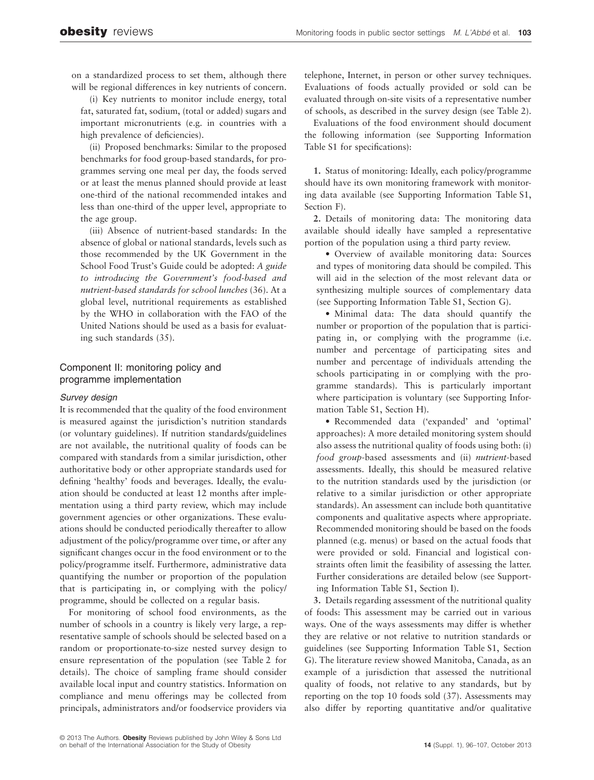on a standardized process to set them, although there will be regional differences in key nutrients of concern.

(i) Key nutrients to monitor include energy, total fat, saturated fat, sodium, (total or added) sugars and important micronutrients (e.g. in countries with a high prevalence of deficiencies).

(ii) Proposed benchmarks: Similar to the proposed benchmarks for food group-based standards, for programmes serving one meal per day, the foods served or at least the menus planned should provide at least one-third of the national recommended intakes and less than one-third of the upper level, appropriate to the age group.

(iii) Absence of nutrient-based standards: In the absence of global or national standards, levels such as those recommended by the UK Government in the School Food Trust's Guide could be adopted: *A guide to introducing the Government's food-based and nutrient-based standards for school lunches* (36). At a global level, nutritional requirements as established by the WHO in collaboration with the FAO of the United Nations should be used as a basis for evaluating such standards (35).

#### Component II: monitoring policy and programme implementation

#### *Survey design*

It is recommended that the quality of the food environment is measured against the jurisdiction's nutrition standards (or voluntary guidelines). If nutrition standards/guidelines are not available, the nutritional quality of foods can be compared with standards from a similar jurisdiction, other authoritative body or other appropriate standards used for defining 'healthy' foods and beverages. Ideally, the evaluation should be conducted at least 12 months after implementation using a third party review, which may include government agencies or other organizations. These evaluations should be conducted periodically thereafter to allow adjustment of the policy/programme over time, or after any significant changes occur in the food environment or to the policy/programme itself. Furthermore, administrative data quantifying the number or proportion of the population that is participating in, or complying with the policy/ programme, should be collected on a regular basis.

For monitoring of school food environments, as the number of schools in a country is likely very large, a representative sample of schools should be selected based on a random or proportionate-to-size nested survey design to ensure representation of the population (see Table 2 for details). The choice of sampling frame should consider available local input and country statistics. Information on compliance and menu offerings may be collected from principals, administrators and/or foodservice providers via telephone, Internet, in person or other survey techniques. Evaluations of foods actually provided or sold can be evaluated through on-site visits of a representative number of schools, as described in the survey design (see Table 2).

Evaluations of the food environment should document the following information (see Supporting Information Table S1 for specifications):

**1.** Status of monitoring: Ideally, each policy/programme should have its own monitoring framework with monitoring data available (see Supporting Information Table S1, Section F).

**2.** Details of monitoring data: The monitoring data available should ideally have sampled a representative portion of the population using a third party review.

• Overview of available monitoring data: Sources and types of monitoring data should be compiled. This will aid in the selection of the most relevant data or synthesizing multiple sources of complementary data (see Supporting Information Table S1, Section G).

• Minimal data: The data should quantify the number or proportion of the population that is participating in, or complying with the programme (i.e. number and percentage of participating sites and number and percentage of individuals attending the schools participating in or complying with the programme standards). This is particularly important where participation is voluntary (see Supporting Information Table S1, Section H).

• Recommended data ('expanded' and 'optimal' approaches): A more detailed monitoring system should also assess the nutritional quality of foods using both: (i) *food group*-based assessments and (ii) *nutrient*-based assessments. Ideally, this should be measured relative to the nutrition standards used by the jurisdiction (or relative to a similar jurisdiction or other appropriate standards). An assessment can include both quantitative components and qualitative aspects where appropriate. Recommended monitoring should be based on the foods planned (e.g. menus) or based on the actual foods that were provided or sold. Financial and logistical constraints often limit the feasibility of assessing the latter. Further considerations are detailed below (see Supporting Information Table S1, Section I).

**3.** Details regarding assessment of the nutritional quality of foods: This assessment may be carried out in various ways. One of the ways assessments may differ is whether they are relative or not relative to nutrition standards or guidelines (see Supporting Information Table S1, Section G). The literature review showed Manitoba, Canada, as an example of a jurisdiction that assessed the nutritional quality of foods, not relative to any standards, but by reporting on the top 10 foods sold (37). Assessments may also differ by reporting quantitative and/or qualitative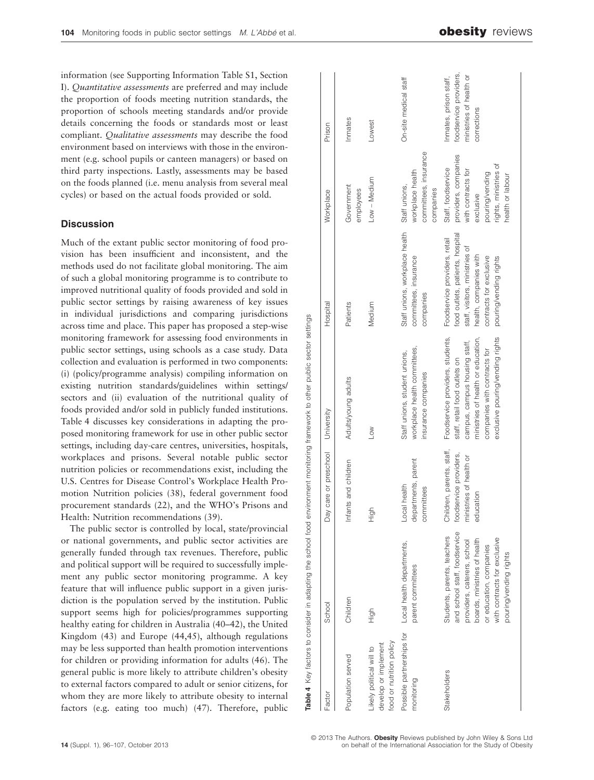information (see Supporting Information Table S1, Section I). *Quantitative assessments* are preferred and may include the proportion of foods meeting nutrition standards, the proportion of schools meeting standards and/or provide details concerning the foods or standards most or least compliant. *Qualitative assessments* may describe the food environment based on interviews with those in the environment (e.g. school pupils or canteen managers) or based on third party inspections. Lastly, assessments may be based on the foods planned (i.e. menu analysis from several meal cycles) or based on the actual foods provided or sold.

#### **Discussion**

Much of the extant public sector monitoring of food provision has been insufficient and inconsistent, and the methods used do not facilitate global monitoring. The aim of such a global monitoring programme is to contribute to improved nutritional quality of foods provided and sold in public sector settings by raising awareness of key issues in individual jurisdictions and comparing jurisdictions across time and place. This paper has proposed a step-wise monitoring framework for assessing food environments in public sector settings, using schools as a case study. Data collection and evaluation is performed in two components: (i) (policy/programme analysis) compiling information on existing nutrition standards/guidelines within settings/ sectors and (ii) evaluation of the nutritional quality of foods provided and/or sold in publicly funded institutions. Table 4 discusses key considerations in adapting the proposed monitoring framework for use in other public sector settings, including day-care centres, universities, hospitals, workplaces and prisons. Several notable public sector nutrition policies or recommendations exist, including the U.S. Centres for Disease Control's Workplace Health Promotion Nutrition policies (38), federal government food procurement standards (22), and the WHO's Prisons and Health: Nutrition recommendations (39).

The public sector is controlled by local, state/provincial or national governments, and public sector activities are generally funded through tax revenues. Therefore, public and political support will be required to successfully implement any public sector monitoring programme. A key feature that will influence public support in a given jurisdiction is the population served by the institution. Public support seems high for policies/programmes supporting healthy eating for children in Australia (40–42), the United Kingdom (43) and Europe (44,45), although regulations may be less supported than health promotion interventions for children or providing information for adults (46). The general public is more likely to attribute children's obesity to external factors compared to adult or senior citizens, for whom they are more likely to attribute obesity to internal factors (e.g. eating too much) (47). Therefore, public

| Factor                                                                      | School                                                                                                                                                                                                           | Day care or preschool                                                                       | University                                                                                                                                                                                                   | Hospital                                                                                                                                                                           | Workplace                                                                                                                                     | Prison                                                                                     |
|-----------------------------------------------------------------------------|------------------------------------------------------------------------------------------------------------------------------------------------------------------------------------------------------------------|---------------------------------------------------------------------------------------------|--------------------------------------------------------------------------------------------------------------------------------------------------------------------------------------------------------------|------------------------------------------------------------------------------------------------------------------------------------------------------------------------------------|-----------------------------------------------------------------------------------------------------------------------------------------------|--------------------------------------------------------------------------------------------|
| Population served                                                           | Children                                                                                                                                                                                                         | Infants and children                                                                        | Adults/young adults                                                                                                                                                                                          | Patients                                                                                                                                                                           | Government<br>employees                                                                                                                       | Inmates                                                                                    |
| food or nutrition policy<br>develop or implement<br>ikely political will to | tigh                                                                                                                                                                                                             | High                                                                                        | Low                                                                                                                                                                                                          | Medium                                                                                                                                                                             | $Low - Medium$                                                                                                                                | Lowest                                                                                     |
| monitoring                                                                  | Possible partnerships for Local health departments,<br>parent committees                                                                                                                                         | departments, parent<br>Local health<br>committees                                           | workplace health committees,<br>Staff unions, student unions,<br>insurance companies                                                                                                                         | Staff unions, workplace health<br>committees, insurance<br>companies                                                                                                               | committees, insurance<br>workplace health<br>Staff unions,<br>companies                                                                       | On-site medical staff                                                                      |
| <b>Stakeholders</b>                                                         | and school staff, foodservice<br>Students, parents, teachers<br>with contracts for exclusive<br>boards, ministries of health<br>providers, caterers, school<br>or education, companies<br>pouring/vending rights | Children, parents, staff,<br>foodservice providers,<br>ministries of health or<br>education | Foodservice providers, students,<br>ministries of health or education,<br>exclusive pouring/vending rights<br>campus, campus housing staff,<br>companies with contracts for<br>staff, retail food outlets on | food outlets, patients, hospital<br>Foodservice providers, retail<br>staff, visitors, ministries of<br>health, companies with<br>contracts for exclusive<br>pouring/vending rights | providers, companies<br>rights, ministries of<br>Staff, foodservice<br>with contracts for<br>pouring/vending<br>health or labour<br>exclusive | foodservice providers,<br>ministries of health or<br>Inmates, prison staff,<br>corrections |

**Table 4** Key factors to consider in adapting the school food environment monitoring framework to other public sector settings

school food

the

Table 4 Key factors to consider in adapting

environment monitoring framework to other public sector settings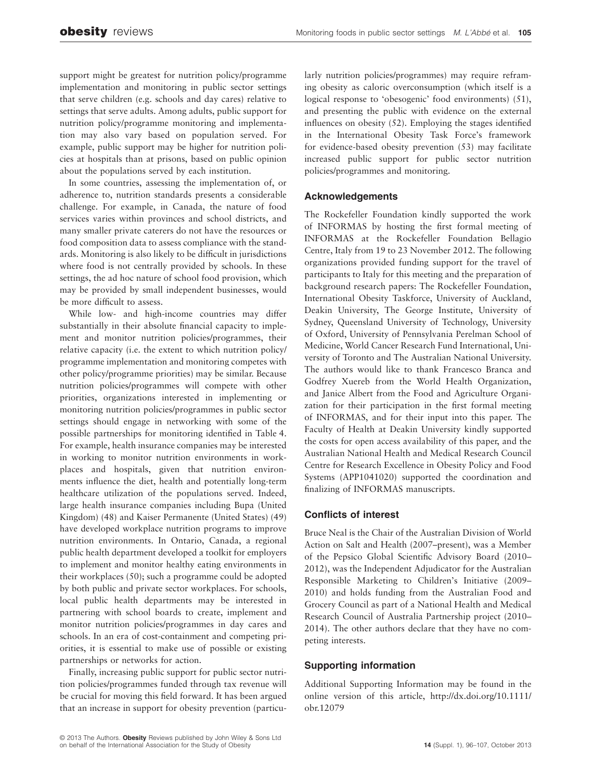support might be greatest for nutrition policy/programme implementation and monitoring in public sector settings that serve children (e.g. schools and day cares) relative to settings that serve adults. Among adults, public support for nutrition policy/programme monitoring and implementation may also vary based on population served. For example, public support may be higher for nutrition policies at hospitals than at prisons, based on public opinion about the populations served by each institution.

In some countries, assessing the implementation of, or adherence to, nutrition standards presents a considerable challenge. For example, in Canada, the nature of food services varies within provinces and school districts, and many smaller private caterers do not have the resources or food composition data to assess compliance with the standards. Monitoring is also likely to be difficult in jurisdictions where food is not centrally provided by schools. In these settings, the ad hoc nature of school food provision, which may be provided by small independent businesses, would be more difficult to assess.

While low- and high-income countries may differ substantially in their absolute financial capacity to implement and monitor nutrition policies/programmes, their relative capacity (i.e. the extent to which nutrition policy/ programme implementation and monitoring competes with other policy/programme priorities) may be similar. Because nutrition policies/programmes will compete with other priorities, organizations interested in implementing or monitoring nutrition policies/programmes in public sector settings should engage in networking with some of the possible partnerships for monitoring identified in Table 4. For example, health insurance companies may be interested in working to monitor nutrition environments in workplaces and hospitals, given that nutrition environments influence the diet, health and potentially long-term healthcare utilization of the populations served. Indeed, large health insurance companies including Bupa (United Kingdom) (48) and Kaiser Permanente (United States) (49) have developed workplace nutrition programs to improve nutrition environments. In Ontario, Canada, a regional public health department developed a toolkit for employers to implement and monitor healthy eating environments in their workplaces (50); such a programme could be adopted by both public and private sector workplaces. For schools, local public health departments may be interested in partnering with school boards to create, implement and monitor nutrition policies/programmes in day cares and schools. In an era of cost-containment and competing priorities, it is essential to make use of possible or existing partnerships or networks for action.

Finally, increasing public support for public sector nutrition policies/programmes funded through tax revenue will be crucial for moving this field forward. It has been argued that an increase in support for obesity prevention (particularly nutrition policies/programmes) may require reframing obesity as caloric overconsumption (which itself is a logical response to 'obesogenic' food environments) (51), and presenting the public with evidence on the external influences on obesity (52). Employing the stages identified in the International Obesity Task Force's framework for evidence-based obesity prevention (53) may facilitate increased public support for public sector nutrition policies/programmes and monitoring.

#### **Acknowledgements**

The Rockefeller Foundation kindly supported the work of INFORMAS by hosting the first formal meeting of INFORMAS at the Rockefeller Foundation Bellagio Centre, Italy from 19 to 23 November 2012. The following organizations provided funding support for the travel of participants to Italy for this meeting and the preparation of background research papers: The Rockefeller Foundation, International Obesity Taskforce, University of Auckland, Deakin University, The George Institute, University of Sydney, Queensland University of Technology, University of Oxford, University of Pennsylvania Perelman School of Medicine, World Cancer Research Fund International, University of Toronto and The Australian National University. The authors would like to thank Francesco Branca and Godfrey Xuereb from the World Health Organization, and Janice Albert from the Food and Agriculture Organization for their participation in the first formal meeting of INFORMAS, and for their input into this paper. The Faculty of Health at Deakin University kindly supported the costs for open access availability of this paper, and the Australian National Health and Medical Research Council Centre for Research Excellence in Obesity Policy and Food Systems (APP1041020) supported the coordination and finalizing of INFORMAS manuscripts.

#### **Conflicts of interest**

Bruce Neal is the Chair of the Australian Division of World Action on Salt and Health (2007–present), was a Member of the Pepsico Global Scientific Advisory Board (2010– 2012), was the Independent Adjudicator for the Australian Responsible Marketing to Children's Initiative (2009– 2010) and holds funding from the Australian Food and Grocery Council as part of a National Health and Medical Research Council of Australia Partnership project (2010– 2014). The other authors declare that they have no competing interests.

#### **Supporting information**

Additional Supporting Information may be found in the online version of this article, http://dx.doi.org/10.1111/ obr.12079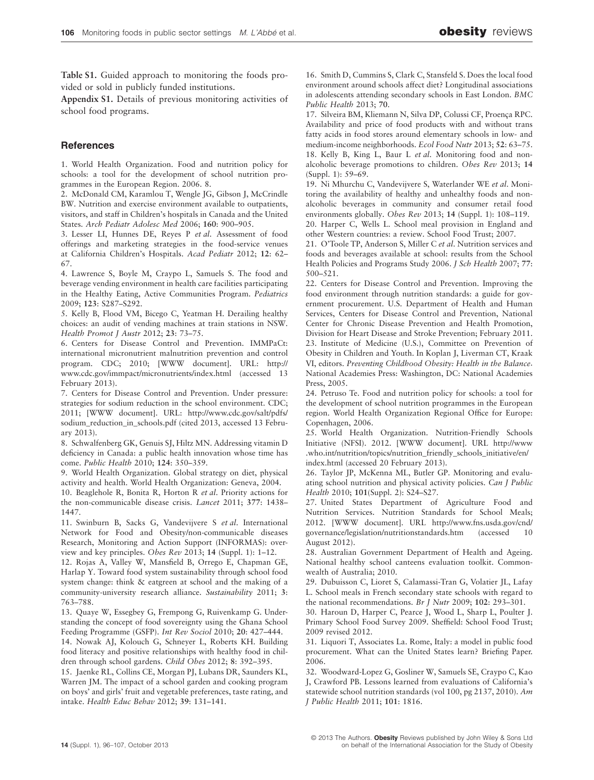**Table S1.** Guided approach to monitoring the foods provided or sold in publicly funded institutions.

**Appendix S1.** Details of previous monitoring activities of school food programs.

#### **References**

1. World Health Organization. Food and nutrition policy for schools: a tool for the development of school nutrition programmes in the European Region. 2006. 8.

2. McDonald CM, Karamlou T, Wengle JG, Gibson J, McCrindle BW. Nutrition and exercise environment available to outpatients, visitors, and staff in Children's hospitals in Canada and the United States. *Arch Pediatr Adolesc Med* 2006; **160**: 900–905.

3. Lesser LI, Hunnes DE, Reyes P *et al*. Assessment of food offerings and marketing strategies in the food-service venues at California Children's Hospitals. *Acad Pediatr* 2012; **12**: 62– 67.

4. Lawrence S, Boyle M, Craypo L, Samuels S. The food and beverage vending environment in health care facilities participating in the Healthy Eating, Active Communities Program. *Pediatrics* 2009; **123**: S287–S292.

5. Kelly B, Flood VM, Bicego C, Yeatman H. Derailing healthy choices: an audit of vending machines at train stations in NSW. *Health Promot J Austr* 2012; **23**: 73–75.

6. Centers for Disease Control and Prevention. IMMPaCt: international micronutrient malnutrition prevention and control program. CDC; 2010; [WWW document]. URL: http:// www.cdc.gov/immpact/micronutrients/index.html (accessed 13 February 2013).

7. Centers for Disease Control and Prevention. Under pressure: strategies for sodium reduction in the school environment. CDC; 2011; [WWW document]. URL: http://www.cdc.gov/salt/pdfs/ sodium\_reduction\_in\_schools.pdf (cited 2013, accessed 13 February 2013).

8. Schwalfenberg GK, Genuis SJ, Hiltz MN. Addressing vitamin D deficiency in Canada: a public health innovation whose time has come. *Public Health* 2010; **124**: 350–359.

9. World Health Organization. Global strategy on diet, physical activity and health. World Health Organization: Geneva, 2004.

10. Beaglehole R, Bonita R, Horton R *et al*. Priority actions for the non-communicable disease crisis. *Lancet* 2011; **377**: 1438– 1447.

11. Swinburn B, Sacks G, Vandevijvere S *et al*. International Network for Food and Obesity/non-communicable diseases Research, Monitoring and Action Support (INFORMAS): overview and key principles. *Obes Rev* 2013; **14** (Suppl. 1): 1–12.

12. Rojas A, Valley W, Mansfield B, Orrego E, Chapman GE, Harlap Y. Toward food system sustainability through school food system change: think & eatgreen at school and the making of a community-university research alliance. *Sustainability* 2011; **3**: 763–788.

13. Quaye W, Essegbey G, Frempong G, Ruivenkamp G. Understanding the concept of food sovereignty using the Ghana School Feeding Programme (GSFP). *Int Rev Sociol* 2010; **20**: 427–444.

14. Nowak AJ, Kolouch G, Schneyer L, Roberts KH. Building food literacy and positive relationships with healthy food in children through school gardens. *Child Obes* 2012; **8**: 392–395.

15. Jaenke RL, Collins CE, Morgan PJ, Lubans DR, Saunders KL, Warren JM. The impact of a school garden and cooking program on boys' and girls' fruit and vegetable preferences, taste rating, and intake. *Health Educ Behav* 2012; **39**: 131–141.

16. Smith D, Cummins S, Clark C, Stansfeld S. Does the local food environment around schools affect diet? Longitudinal associations in adolescents attending secondary schools in East London. *BMC Public Health* 2013; **70**.

17. Silveira BM, Kliemann N, Silva DP, Colussi CF, Proença RPC. Availability and price of food products with and without trans fatty acids in food stores around elementary schools in low- and medium-income neighborhoods. *Ecol Food Nutr* 2013; **52**: 63–75. 18. Kelly B, King L, Baur L *et al*. Monitoring food and nonalcoholic beverage promotions to children. *Obes Rev* 2013; **14** (Suppl. 1): 59–69.

19. Ni Mhurchu C, Vandevijvere S, Waterlander WE *et al*. Monitoring the availability of healthy and unhealthy foods and nonalcoholic beverages in community and consumer retail food environments globally. *Obes Rev* 2013; **14** (Suppl. 1): 108–119. 20. Harper C, Wells L. School meal provision in England and

other Western countries: a review. School Food Trust; 2007.

21. O'Toole TP, Anderson S, Miller C *et al*. Nutrition services and foods and beverages available at school: results from the School Health Policies and Programs Study 2006. *J Sch Health* 2007; **77**: 500–521.

22. Centers for Disease Control and Prevention. Improving the food environment through nutrition standards: a guide for government procurement. U.S. Department of Health and Human Services, Centers for Disease Control and Prevention, National Center for Chronic Disease Prevention and Health Promotion, Division for Heart Disease and Stroke Prevention; February 2011. 23. Institute of Medicine (U.S.), Committee on Prevention of Obesity in Children and Youth. In Koplan J, Liverman CT, Kraak VI, editors. *Preventing Childhood Obesity: Health in the Balance*. National Academies Press: Washington, DC: National Academies Press, 2005.

24. Petruso Te. Food and nutrition policy for schools: a tool for the development of school nutrition programmes in the European region. World Health Organization Regional Office for Europe: Copenhagen, 2006.

25. World Health Organization. Nutrition-Friendly Schools Initiative (NFSI). 2012. [WWW document]. URL http://www .who.int/nutrition/topics/nutrition\_friendly\_schools\_initiative/en/ index.html (accessed 20 February 2013).

26. Taylor JP, McKenna ML, Butler GP. Monitoring and evaluating school nutrition and physical activity policies. *Can J Public Health* 2010; **101**(Suppl. 2): S24–S27.

27. United States Department of Agriculture Food and Nutrition Services. Nutrition Standards for School Meals; 2012. [WWW document]. URL http://www.fns.usda.gov/cnd/ governance/legislation/nutritionstandards.htm (accessed 10 August 2012).

28. Australian Government Department of Health and Ageing. National healthy school canteens evaluation toolkit. Commonwealth of Australia; 2010.

29. Dubuisson C, Lioret S, Calamassi-Tran G, Volatier JL, Lafay L. School meals in French secondary state schools with regard to the national recommendations. *Br J Nutr* 2009; **102**: 293–301.

30. Haroun D, Harper C, Pearce J, Wood L, Sharp L, Poulter J. Primary School Food Survey 2009. Sheffield: School Food Trust; 2009 revised 2012.

31. Liquori T, Associates La. Rome, Italy: a model in public food procurement. What can the United States learn? Briefing Paper. 2006.

32. Woodward-Lopez G, Gosliner W, Samuels SE, Craypo C, Kao J, Crawford PB. Lessons learned from evaluations of California's statewide school nutrition standards (vol 100, pg 2137, 2010). *Am J Public Health* 2011; **101**: 1816.